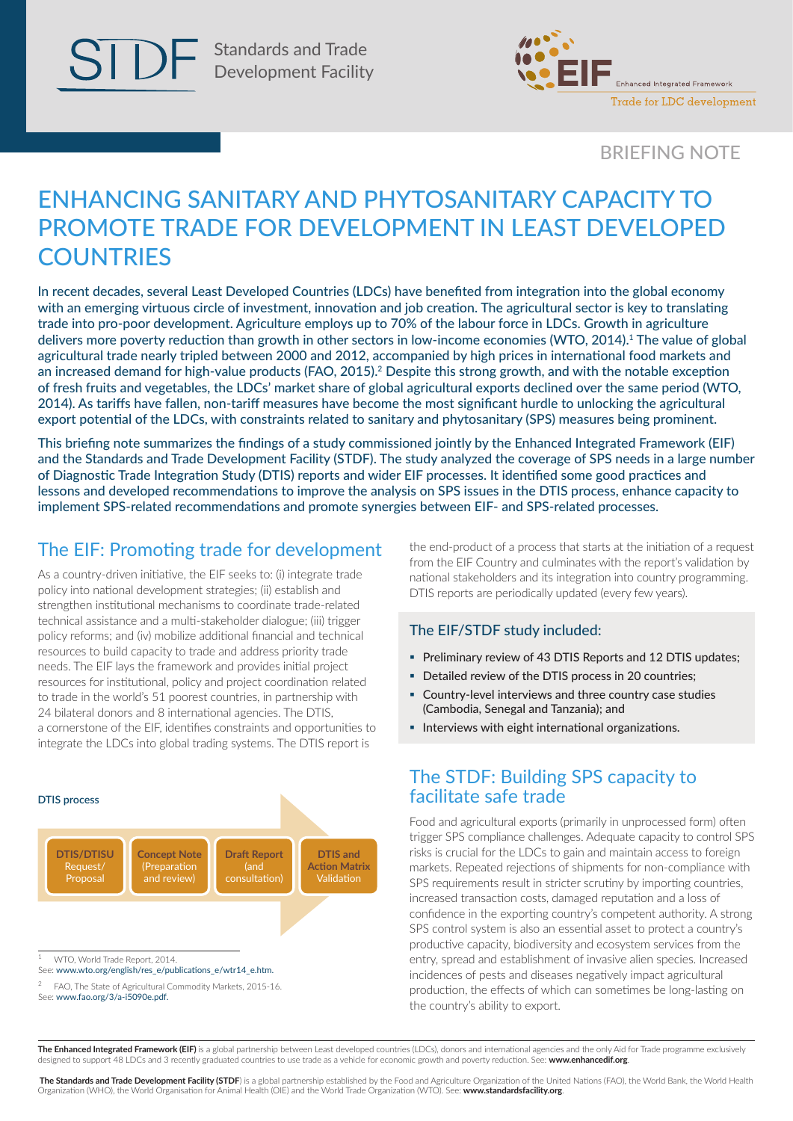

Standards and Trade Development Facility



## BRIEFING NOTE

# ENHANCING SANITARY AND PHYTOSANITARY CAPACITY TO PROMOTE TRADE FOR DEVELOPMENT IN LEAST DEVELOPED **COUNTRIES**

In recent decades, several Least Developed Countries (LDCs) have benefited from integration into the global economy with an emerging virtuous circle of investment, innovation and job creation. The agricultural sector is key to translating trade into pro‑poor development. Agriculture employs up to 70% of the labour force in LDCs. Growth in agriculture delivers more poverty reduction than growth in other sectors in low-income economies (WTO, 2014).1 The value of global agricultural trade nearly tripled between 2000 and 2012, accompanied by high prices in international food markets and an increased demand for high-value products (FAO, 2015).<sup>2</sup> Despite this strong growth, and with the notable exception of fresh fruits and vegetables, the LDCs' market share of global agricultural exports declined over the same period (WTO, 2014). As tariffs have fallen, non-tariff measures have become the most significant hurdle to unlocking the agricultural export potential of the LDCs, with constraints related to sanitary and phytosanitary (SPS) measures being prominent.

This briefing note summarizes the findings of a study commissioned jointly by the Enhanced Integrated Framework (EIF) and the Standards and Trade Development Facility (STDF). The study analyzed the coverage of SPS needs in a large number of Diagnostic Trade Integration Study (DTIS) reports and wider EIF processes. It identified some good practices and lessons and developed recommendations to improve the analysis on SPS issues in the DTIS process, enhance capacity to implement SPS-related recommendations and promote synergies between EIF- and SPS-related processes.

## The EIF: Promoting trade for development

As a country-driven initiative, the EIF seeks to: (i) integrate trade policy into national development strategies; (ii) establish and strengthen institutional mechanisms to coordinate trade‑related technical assistance and a multi-stakeholder dialogue; (iii) trigger policy reforms; and (iv) mobilize additional financial and technical resources to build capacity to trade and address priority trade needs. The EIF lays the framework and provides initial project resources for institutional, policy and project coordination related to trade in the world's 51 poorest countries, in partnership with 24 bilateral donors and 8 international agencies. The DTIS, a cornerstone of the EIF, identifies constraints and opportunities to integrate the LDCs into global trading systems. The DTIS report is



See: [www.fao.org/3/a-i5090e.pdf](http://www.fao.org/3/a-i5090e.pdf).

the end-product of a process that starts at the initiation of a request from the EIF Country and culminates with the report's validation by national stakeholders and its integration into country programming. DTIS reports are periodically updated (every few years).

#### The EIF/STDF study included:

- Preliminary review of 43 DTIS Reports and 12 DTIS updates;
- Detailed review of the DTIS process in 20 countries;
- Country-level interviews and three country case studies (Cambodia, Senegal and Tanzania); and
- **Interviews with eight international organizations.**

## The STDF: Building SPS capacity to facilitate safe trade

Food and agricultural exports (primarily in unprocessed form) often trigger SPS compliance challenges. Adequate capacity to control SPS risks is crucial for the LDCs to gain and maintain access to foreign markets. Repeated rejections of shipments for non‑compliance with SPS requirements result in stricter scrutiny by importing countries, increased transaction costs, damaged reputation and a loss of confidence in the exporting country's competent authority. A strong SPS control system is also an essential asset to protect a country's productive capacity, biodiversity and ecosystem services from the entry, spread and establishment of invasive alien species. Increased incidences of pests and diseases negatively impact agricultural production, the effects of which can sometimes be long-lasting on the country's ability to export.

The Enhanced Integrated Framework (EIF) is a global partnership between Least developed countries (LDCs), donors and international agencies and the only Aid for Trade programme exclusively designed to support 48 LDCs and 3 recently graduated countries to use trade as a vehicle for economic growth and poverty reduction. See: **www.enhancedif.org**.

The Standards and Trade Development Facility (STDF) is a global partnership established by the Food and Agriculture Organization of the United Nations (FAO), the World Bank, the World Health Organization (WHO), the World Organisation for Animal Health (OIE) and the World Trade Organization (WTO). See: **[www.standardsfacility.org](http://www.standardsfacility.org)**.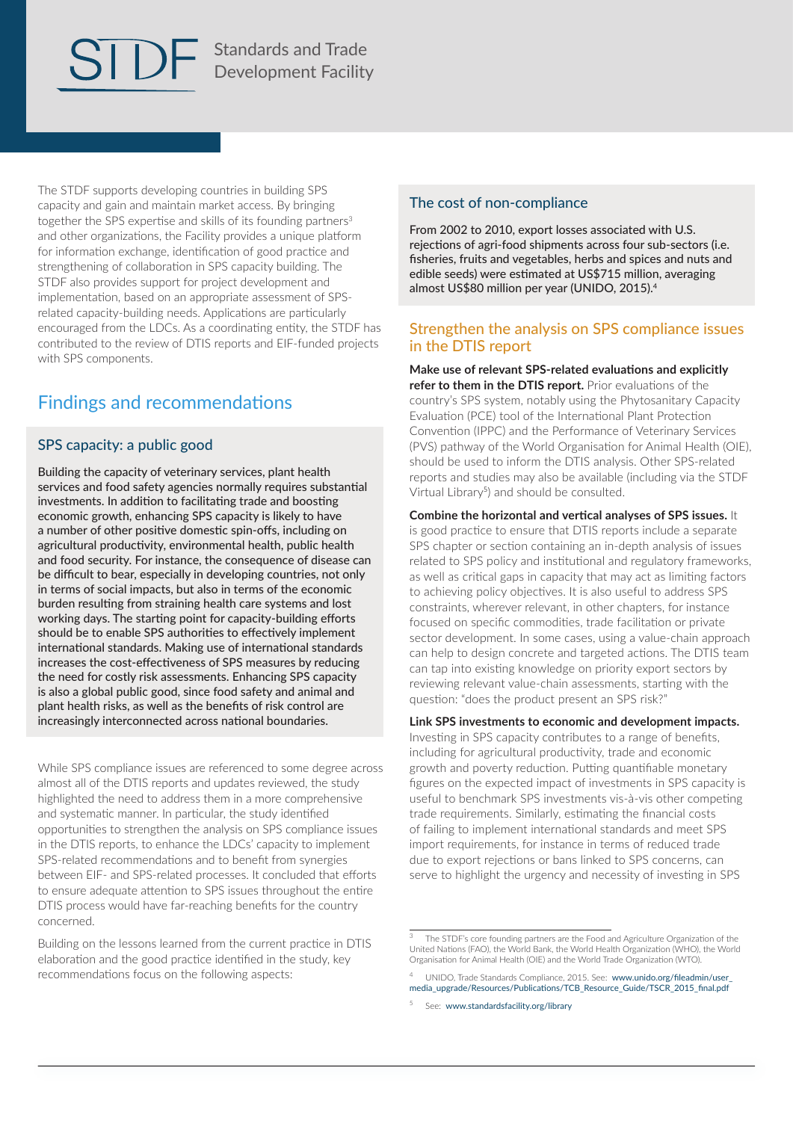Standards and Trade Development Facility

The STDF supports developing countries in building SPS capacity and gain and maintain market access. By bringing together the SPS expertise and skills of its founding partners<sup>3</sup> and other organizations, the Facility provides a unique platform for information exchange, identification of good practice and strengthening of collaboration in SPS capacity building. The STDF also provides support for project development and implementation, based on an appropriate assessment of SPSrelated capacity‑building needs. Applications are particularly encouraged from the LDCs. As a coordinating entity, the STDF has contributed to the review of DTIS reports and EIF-funded projects with SPS components.

## Findings and recommendations

#### SPS capacity: a public good

Building the capacity of veterinary services, plant health services and food safety agencies normally requires substantial investments. In addition to facilitating trade and boosting economic growth, enhancing SPS capacity is likely to have a number of other positive domestic spin-offs, including on agricultural productivity, environmental health, public health and food security. For instance, the consequence of disease can be difficult to bear, especially in developing countries, not only in terms of social impacts, but also in terms of the economic burden resulting from straining health care systems and lost working days. The starting point for capacity-building efforts should be to enable SPS authorities to effectively implement international standards. Making use of international standards increases the cost-effectiveness of SPS measures by reducing the need for costly risk assessments. Enhancing SPS capacity is also a global public good, since food safety and animal and plant health risks, as well as the benefits of risk control are increasingly interconnected across national boundaries.

While SPS compliance issues are referenced to some degree across almost all of the DTIS reports and updates reviewed, the study highlighted the need to address them in a more comprehensive and systematic manner. In particular, the study identified opportunities to strengthen the analysis on SPS compliance issues in the DTIS reports, to enhance the LDCs' capacity to implement SPS-related recommendations and to benefit from synergies between EIF‑ and SPS-related processes. It concluded that efforts to ensure adequate attention to SPS issues throughout the entire DTIS process would have far-reaching benefits for the country concerned.

Building on the lessons learned from the current practice in DTIS elaboration and the good practice identified in the study, key recommendations focus on the following aspects:

#### The cost of non-compliance

From 2002 to 2010, export losses associated with U.S. rejections of agri-food shipments across four sub-sectors (i.e. fisheries, fruits and vegetables, herbs and spices and nuts and edible seeds) were estimated at US\$715 million, averaging almost US\$80 million per year (UNIDO, 2015).<sup>4</sup>

#### Strengthen the analysis on SPS compliance issues in the DTIS report

**Make use of relevant SPS-related evaluations and explicitly refer to them in the DTIS report.** Prior evaluations of the country's SPS system, notably using the Phytosanitary Capacity Evaluation (PCE) tool of the International Plant Protection Convention (IPPC) and the Performance of Veterinary Services (PVS) pathway of the World Organisation for Animal Health (OIE), should be used to inform the DTIS analysis. Other SPS-related reports and studies may also be available (including via the STDF Virtual Library<sup>5</sup>) and should be consulted.

**Combine the horizontal and vertical analyses of SPS issues.** It is good practice to ensure that DTIS reports include a separate SPS chapter or section containing an in-depth analysis of issues related to SPS policy and institutional and regulatory frameworks, as well as critical gaps in capacity that may act as limiting factors to achieving policy objectives. It is also useful to address SPS constraints, wherever relevant, in other chapters, for instance focused on specific commodities, trade facilitation or private sector development. In some cases, using a value-chain approach can help to design concrete and targeted actions. The DTIS team can tap into existing knowledge on priority export sectors by reviewing relevant value-chain assessments, starting with the question: "does the product present an SPS risk?"

**Link SPS investments to economic and development impacts.** Investing in SPS capacity contributes to a range of benefits, including for agricultural productivity, trade and economic growth and poverty reduction. Putting quantifiable monetary figures on the expected impact of investments in SPS capacity is useful to benchmark SPS investments vis-à-vis other competing trade requirements. Similarly, estimating the financial costs of failing to implement international standards and meet SPS import requirements, for instance in terms of reduced trade due to export rejections or bans linked to SPS concerns, can serve to highlight the urgency and necessity of investing in SPS

<sup>5</sup> See: www.standardsfacility.org/library

The STDF's core founding partners are the Food and Agriculture Organization of the United Nations (FAO), the World Bank, the World Health Organization (WHO), the World Organisation for Animal Health (OIE) and the World Trade Organization (WTO).

<sup>4</sup> UNIDO, Trade Standards Compliance, 2015. See: [www.unido.org/fileadmin/user\\_](http://www.unido.org/fileadmin/user_media_upgrade/Resources/Publications/TCB_Resource_Guide/TSCR_2015_final.pdf) [media\\_upgrade/Resources/Publications/TCB\\_Resource\\_Guide/TSCR\\_2015\\_final.pdf](http://www.unido.org/fileadmin/user_media_upgrade/Resources/Publications/TCB_Resource_Guide/TSCR_2015_final.pdf)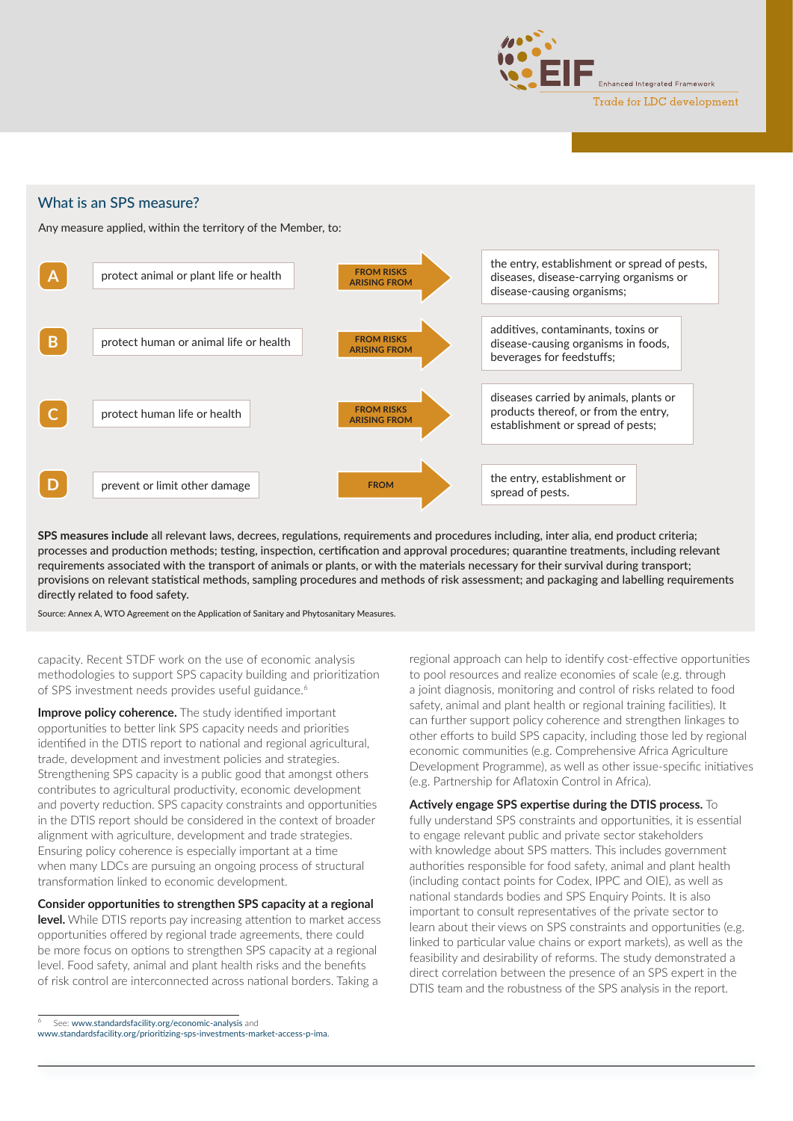

#### What is an SPS measure?

Any measure applied, within the territory of the Member, to:



**SPS measures include** all relevant laws, decrees, regulations, requirements and procedures including, inter alia, end product criteria; processes and production methods; testing, inspection, certification and approval procedures; quarantine treatments, including relevant requirements associated with the transport of animals or plants, or with the materials necessary for their survival during transport; provisions on relevant statistical methods, sampling procedures and methods of risk assessment; and packaging and labelling requirements directly related to food safety.

Source: Annex A, WTO Agreement on the Application of Sanitary and Phytosanitary Measures.

capacity. Recent STDF work on the use of economic analysis methodologies to support SPS capacity building and prioritization of SPS investment needs provides useful guidance.<sup>6</sup>

**Improve policy coherence.** The study identified important opportunities to better link SPS capacity needs and priorities identified in the DTIS report to national and regional agricultural, trade, development and investment policies and strategies. Strengthening SPS capacity is a public good that amongst others contributes to agricultural productivity, economic development and poverty reduction. SPS capacity constraints and opportunities in the DTIS report should be considered in the context of broader alignment with agriculture, development and trade strategies. Ensuring policy coherence is especially important at a time when many LDCs are pursuing an ongoing process of structural transformation linked to economic development.

#### **Consider opportunities to strengthen SPS capacity at a regional**

**level.** While DTIS reports pay increasing attention to market access opportunities offered by regional trade agreements, there could be more focus on options to strengthen SPS capacity at a regional level. Food safety, animal and plant health risks and the benefits of risk control are interconnected across national borders. Taking a

regional approach can help to identify cost-effective opportunities to pool resources and realize economies of scale (e.g. through a joint diagnosis, monitoring and control of risks related to food safety, animal and plant health or regional training facilities). It can further support policy coherence and strengthen linkages to other efforts to build SPS capacity, including those led by regional economic communities (e.g. Comprehensive Africa Agriculture Development Programme), as well as other issue-specific initiatives (e.g. Partnership for Aflatoxin Control in Africa).

**Actively engage SPS expertise during the DTIS process.** To fully understand SPS constraints and opportunities, it is essential to engage relevant public and private sector stakeholders with knowledge about SPS matters. This includes government authorities responsible for food safety, animal and plant health (including contact points for Codex, IPPC and OIE), as well as national standards bodies and SPS Enquiry Points. It is also important to consult representatives of the private sector to learn about their views on SPS constraints and opportunities (e.g. linked to particular value chains or export markets), as well as the feasibility and desirability of reforms. The study demonstrated a direct correlation between the presence of an SPS expert in the DTIS team and the robustness of the SPS analysis in the report.

See: [www.standardsfacility.org/economic-analysis](http://www.standardsfacility.org/economic-analysis) and

[www.standardsfacility.org/prioritizing-sps-investments-market-access-p-ima.](http://www.standardsfacility.org/prioritizing-sps-investments-market-access-p-ima)